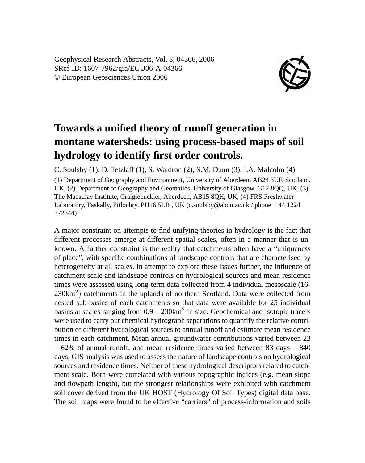Geophysical Research Abstracts, Vol. 8, 04366, 2006 SRef-ID: 1607-7962/gra/EGU06-A-04366 © European Geosciences Union 2006



## **Towards a unified theory of runoff generation in montane watersheds: using process-based maps of soil hydrology to identify first order controls.**

C. Soulsby (1), D. Tetzlaff (1), S. Waldron (2), S.M. Dunn (3), I.A. Malcolm (4)

(1) Department of Geography and Environment, University of Aberdeen, AB24 3UF, Scotland, UK, (2) Department of Geography and Geomatics, University of Glasgow, G12 8OO, UK, (3) The Macaulay Institute, Craigiebuckler, Aberdeen, AB15 8QH, UK, (4) FRS Freshwater Laboratory, Faskally, Pitlochry, PH16 5LB , UK (c.soulsby@abdn.ac.uk / phone + 44 1224 272344)

A major constraint on attempts to find unifying theories in hydrology is the fact that different processes emerge at different spatial scales, often in a manner that is unknown. A further constraint is the reality that catchments often have a "uniqueness of place", with specific combinations of landscape controls that are characterised by heterogeneity at all scales. In attempt to explore these issues further, the influence of catchment scale and landscape controls on hydrological sources and mean residence times were assessed using long-term data collected from 4 individual mesoscale (16-  $230 \text{km}^2$ ) catchments in the uplands of northern Scotland. Data were collected from nested sub-basins of each catchments so that data were available for 25 individual basins at scales ranging from  $0.9 - 230$ km<sup>2</sup> in size. Geochemical and isotopic tracers were used to carry out chemical hydrograph separations to quantify the relative contribution of different hydrological sources to annual runoff and estimate mean residence times in each catchment. Mean annual groundwater contributions varied between 23 – 62% of annual runoff, and mean residence times varied between 83 days – 840 days. GIS analysis was used to assess the nature of landscape controls on hydrological sources and residence times. Neither of these hydrological descriptors related to catchment scale. Both were correlated with various topographic indices (e.g. mean slope and flowpath length), but the strongest relationships were exhibited with catchment soil cover derived from the UK HOST (Hydrology Of Soil Types) digital data base. The soil maps were found to be effective "carriers" of process-information and soils